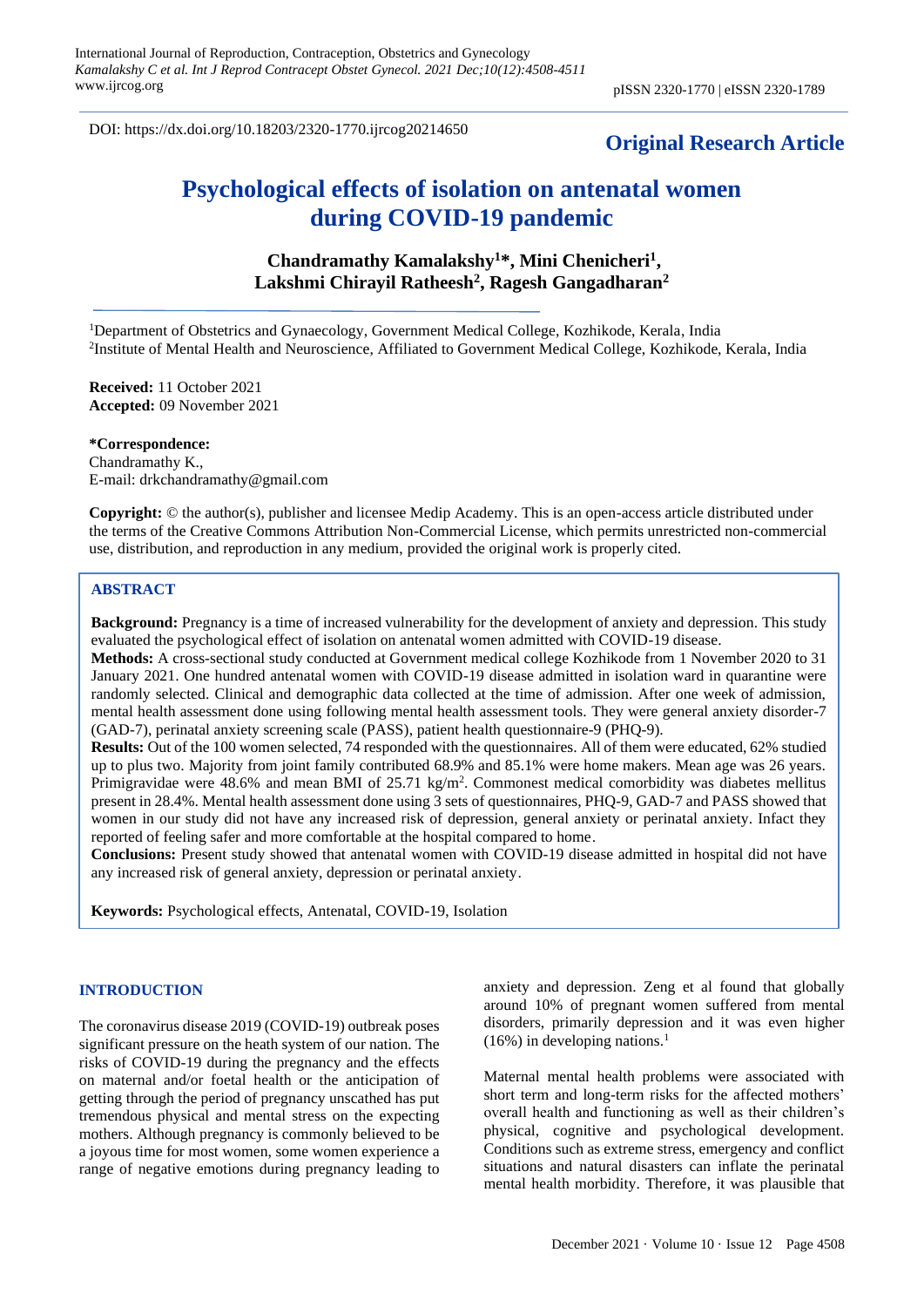DOI: https://dx.doi.org/10.18203/2320-1770.ijrcog20214650

# **Original Research Article**

# **Psychological effects of isolation on antenatal women during COVID-19 pandemic**

# **Chandramathy Kamalakshy<sup>1</sup>\*, Mini Chenicheri<sup>1</sup> , Lakshmi Chirayil Ratheesh<sup>2</sup> , Ragesh Gangadharan<sup>2</sup>**

<sup>1</sup>Department of Obstetrics and Gynaecology, Government Medical College, Kozhikode, Kerala, India <sup>2</sup>Institute of Mental Health and Neuroscience, Affiliated to Government Medical College, Kozhikode, Kerala, India

**Received:** 11 October 2021 **Accepted:** 09 November 2021

### **\*Correspondence:**

Chandramathy K., E-mail: drkchandramathy@gmail.com

**Copyright:** © the author(s), publisher and licensee Medip Academy. This is an open-access article distributed under the terms of the Creative Commons Attribution Non-Commercial License, which permits unrestricted non-commercial use, distribution, and reproduction in any medium, provided the original work is properly cited.

# **ABSTRACT**

**Background:** Pregnancy is a time of increased vulnerability for the development of anxiety and depression. This study evaluated the psychological effect of isolation on antenatal women admitted with COVID-19 disease.

**Methods:** A cross-sectional study conducted at Government medical college Kozhikode from 1 November 2020 to 31 January 2021. One hundred antenatal women with COVID-19 disease admitted in isolation ward in quarantine were randomly selected. Clinical and demographic data collected at the time of admission. After one week of admission, mental health assessment done using following mental health assessment tools. They were general anxiety disorder-7 (GAD-7), perinatal anxiety screening scale (PASS), patient health questionnaire-9 (PHQ-9).

**Results:** Out of the 100 women selected, 74 responded with the questionnaires. All of them were educated, 62% studied up to plus two. Majority from joint family contributed 68.9% and 85.1% were home makers. Mean age was 26 years. Primigravidae were 48.6% and mean BMI of  $25.71 \text{ kg/m}^2$ . Commonest medical comorbidity was diabetes mellitus present in 28.4%. Mental health assessment done using 3 sets of questionnaires, PHQ-9, GAD-7 and PASS showed that women in our study did not have any increased risk of depression, general anxiety or perinatal anxiety. Infact they reported of feeling safer and more comfortable at the hospital compared to home.

**Conclusions:** Present study showed that antenatal women with COVID-19 disease admitted in hospital did not have any increased risk of general anxiety, depression or perinatal anxiety.

**Keywords:** Psychological effects, Antenatal, COVID-19, Isolation

#### **INTRODUCTION**

The coronavirus disease 2019 (COVID-19) outbreak poses significant pressure on the heath system of our nation. The risks of COVID-19 during the pregnancy and the effects on maternal and/or foetal health or the anticipation of getting through the period of pregnancy unscathed has put tremendous physical and mental stress on the expecting mothers. Although pregnancy is commonly believed to be a joyous time for most women, some women experience a range of negative emotions during pregnancy leading to anxiety and depression. Zeng et al found that globally around 10% of pregnant women suffered from mental disorders, primarily depression and it was even higher  $(16\%)$  in developing nations.<sup>1</sup>

Maternal mental health problems were associated with short term and long-term risks for the affected mothers' overall health and functioning as well as their children's physical, cognitive and psychological development. Conditions such as extreme stress, emergency and conflict situations and natural disasters can inflate the perinatal mental health morbidity. Therefore, it was plausible that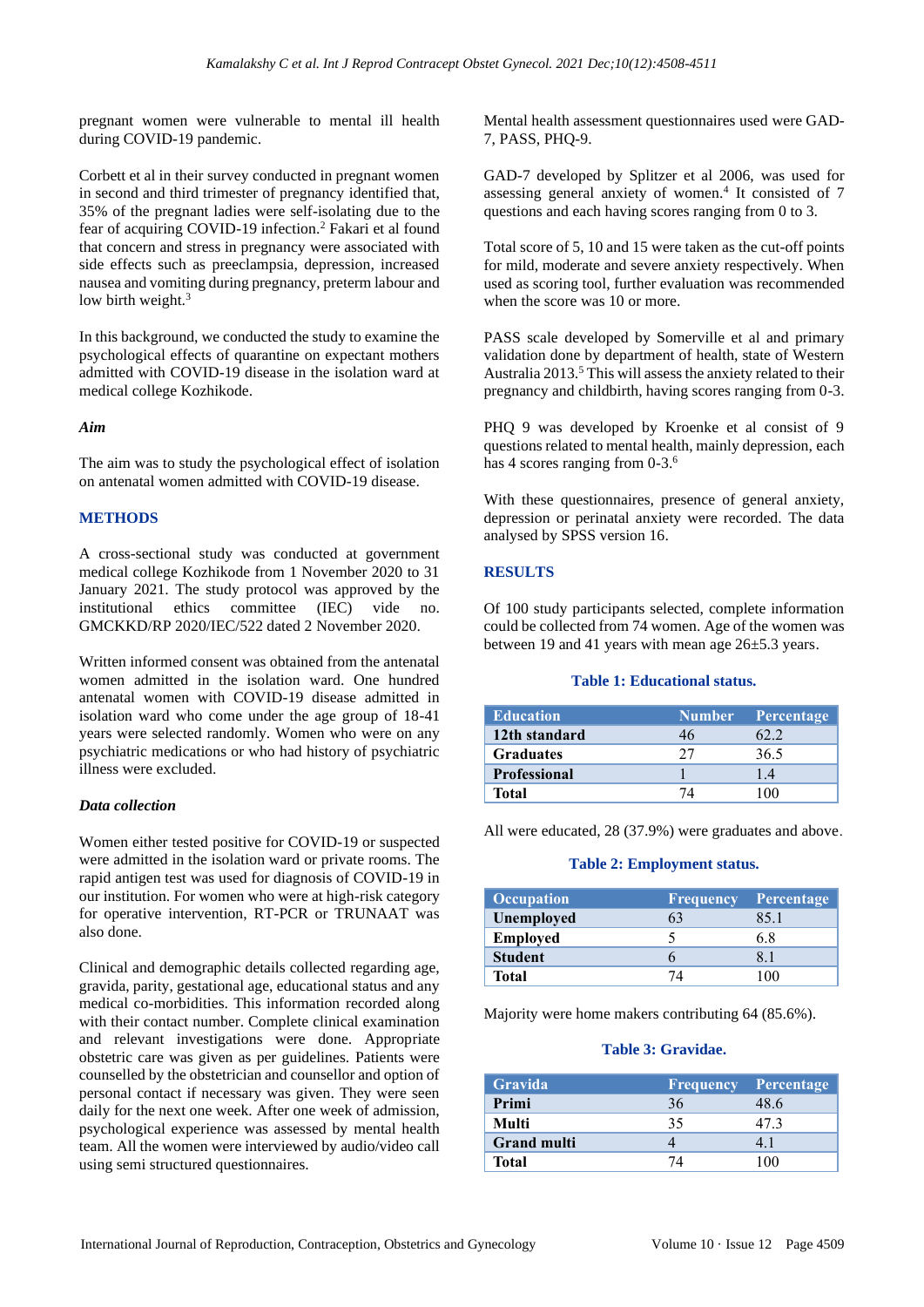pregnant women were vulnerable to mental ill health during COVID-19 pandemic.

Corbett et al in their survey conducted in pregnant women in second and third trimester of pregnancy identified that, 35% of the pregnant ladies were self-isolating due to the fear of acquiring COVID-19 infection.<sup>2</sup> Fakari et al found that concern and stress in pregnancy were associated with side effects such as preeclampsia, depression, increased nausea and vomiting during pregnancy, preterm labour and low birth weight.<sup>3</sup>

In this background, we conducted the study to examine the psychological effects of quarantine on expectant mothers admitted with COVID-19 disease in the isolation ward at medical college Kozhikode.

# *Aim*

The aim was to study the psychological effect of isolation on antenatal women admitted with COVID-19 disease.

# **METHODS**

A cross-sectional study was conducted at government medical college Kozhikode from 1 November 2020 to 31 January 2021. The study protocol was approved by the institutional ethics committee (IEC) vide no. GMCKKD/RP 2020/IEC/522 dated 2 November 2020.

Written informed consent was obtained from the antenatal women admitted in the isolation ward. One hundred antenatal women with COVID-19 disease admitted in isolation ward who come under the age group of 18-41 years were selected randomly. Women who were on any psychiatric medications or who had history of psychiatric illness were excluded.

# *Data collection*

Women either tested positive for COVID-19 or suspected were admitted in the isolation ward or private rooms. The rapid antigen test was used for diagnosis of COVID-19 in our institution. For women who were at high-risk category for operative intervention, RT-PCR or TRUNAAT was also done.

Clinical and demographic details collected regarding age, gravida, parity, gestational age, educational status and any medical co-morbidities. This information recorded along with their contact number. Complete clinical examination and relevant investigations were done. Appropriate obstetric care was given as per guidelines. Patients were counselled by the obstetrician and counsellor and option of personal contact if necessary was given. They were seen daily for the next one week. After one week of admission, psychological experience was assessed by mental health team. All the women were interviewed by audio/video call using semi structured questionnaires.

Mental health assessment questionnaires used were GAD-7, PASS, PHQ-9.

GAD-7 developed by Splitzer et al 2006, was used for assessing general anxiety of women.<sup>4</sup> It consisted of 7 questions and each having scores ranging from 0 to 3.

Total score of 5, 10 and 15 were taken as the cut-off points for mild, moderate and severe anxiety respectively. When used as scoring tool, further evaluation was recommended when the score was 10 or more.

PASS scale developed by Somerville et al and primary validation done by department of health, state of Western Australia 2013.<sup>5</sup> This will assess the anxiety related to their pregnancy and childbirth, having scores ranging from 0-3.

PHQ 9 was developed by Kroenke et al consist of 9 questions related to mental health, mainly depression, each has 4 scores ranging from 0-3.<sup>6</sup>

With these questionnaires, presence of general anxiety, depression or perinatal anxiety were recorded. The data analysed by SPSS version 16.

# **RESULTS**

Of 100 study participants selected, complete information could be collected from 74 women. Age of the women was between 19 and 41 years with mean age 26±5.3 years.

# **Table 1: Educational status.**

| <b>Education</b>    |    | Number Percentage |
|---------------------|----|-------------------|
| 12th standard       | 46 | 62.2              |
| <b>Graduates</b>    |    | 36.5              |
| <b>Professional</b> |    | 14                |
| Total               |    | 100               |

All were educated, 28 (37.9%) were graduates and above.

#### **Table 2: Employment status.**

| <b>Occupation</b> | <b>Frequency</b> | Percentage |
|-------------------|------------------|------------|
| Unemployed        |                  | 85.1       |
| <b>Employed</b>   |                  | 6.8        |
| <b>Student</b>    |                  |            |
| <b>Total</b>      |                  | $\Omega$   |

Majority were home makers contributing 64 (85.6%).

#### **Table 3: Gravidae.**

| <b>Gravida</b>     | <b>Frequency Percentage</b> |      |
|--------------------|-----------------------------|------|
| Primi              | 36                          | 48.6 |
| Multi              | 35                          | 47.3 |
| <b>Grand multi</b> |                             |      |
| <b>Total</b>       | 7Λ                          | 100  |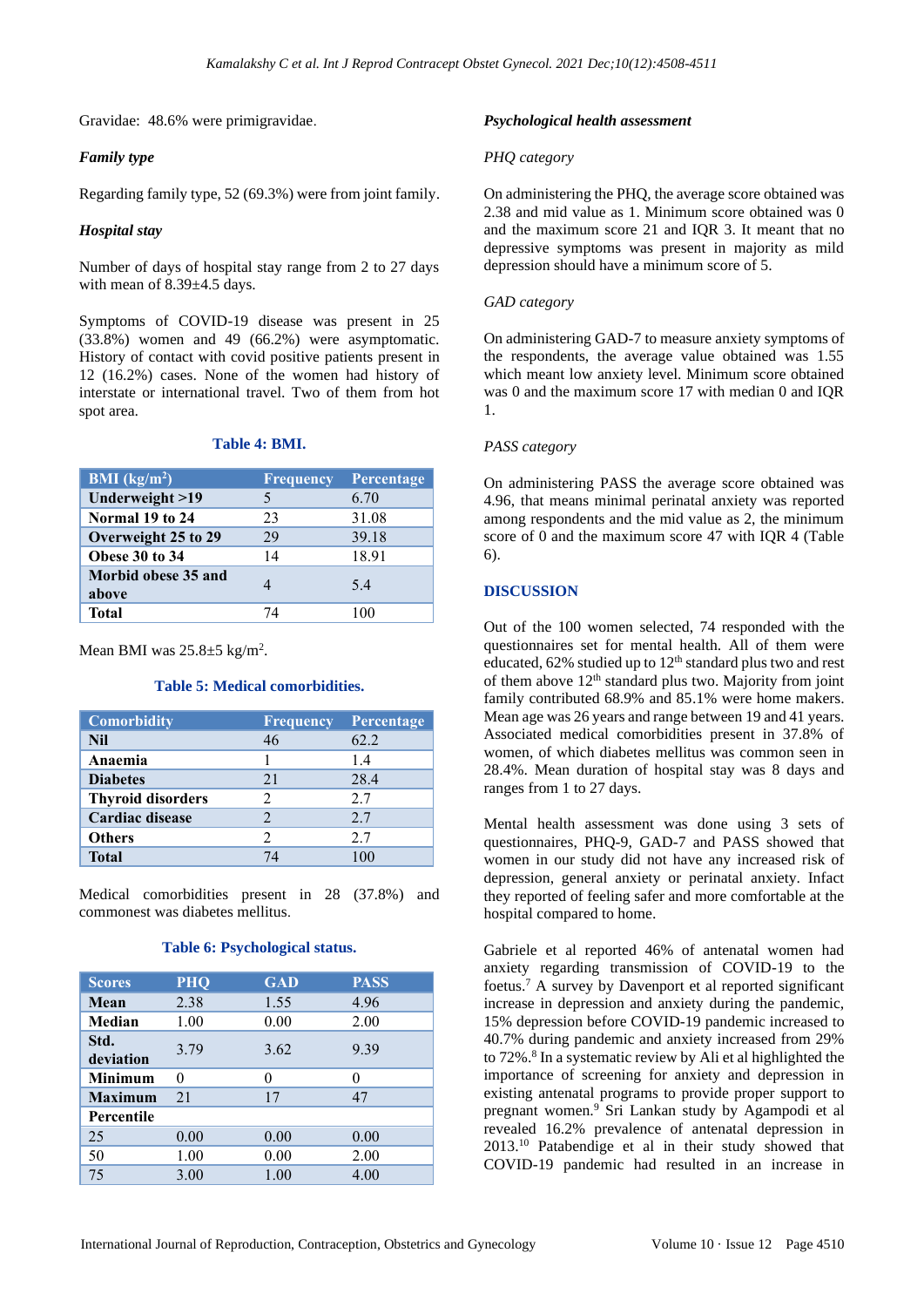Gravidae: 48.6% were primigravidae.

## *Family type*

Regarding family type, 52 (69.3%) were from joint family.

## *Hospital stay*

Number of days of hospital stay range from 2 to 27 days with mean of 8.39±4.5 days.

Symptoms of COVID-19 disease was present in 25 (33.8%) women and 49 (66.2%) were asymptomatic. History of contact with covid positive patients present in 12 (16.2%) cases. None of the women had history of interstate or international travel. Two of them from hot spot area.

#### **Table 4: BMI.**

| <b>BMI</b> ( $kg/m2$ )       | <b>Frequency</b> | Percentage |
|------------------------------|------------------|------------|
| Underweight >19              |                  | 6.70       |
| Normal 19 to 24              | 23               | 31.08      |
| Overweight 25 to 29          | 29               | 39.18      |
| Obese 30 to 34               | 14               | 18.91      |
| Morbid obese 35 and<br>above |                  | 5.4        |
| <b>Total</b>                 | 74               |            |

Mean BMI was  $25.8 \pm 5$  kg/m<sup>2</sup>.

#### **Table 5: Medical comorbidities.**

| <b>Comorbidity</b>       | <b>Frequency</b> | Percentage |
|--------------------------|------------------|------------|
| <b>Nil</b>               | 46               | 62.2       |
| Anaemia                  |                  | 1.4        |
| <b>Diabetes</b>          | 21               | 28.4       |
| <b>Thyroid disorders</b> | 2                | 2.7        |
| Cardiac disease          |                  | 2.7        |
| <b>Others</b>            | 2                | 2.7        |
| <b>Total</b>             | 74               | 100        |

Medical comorbidities present in 28 (37.8%) and commonest was diabetes mellitus.

#### **Table 6: Psychological status.**

| <b>Scores</b>     | <b>PHQ</b> | <b>GAD</b> | <b>PASS</b> |
|-------------------|------------|------------|-------------|
| Mean              | 2.38       | 1.55       | 4.96        |
| Median            | 1.00       | 0.00       | 2.00        |
| Std.<br>deviation | 3.79       | 3.62       | 9.39        |
| <b>Minimum</b>    | 0          | 0          | 0           |
| <b>Maximum</b>    | 21         | 17         | 47          |
| Percentile        |            |            |             |
| 25                | 0.00       | 0.00       | 0.00        |
| 50                | 1.00       | 0.00       | 2.00        |
| 75                | 3.00       | 1.00       | 4.00        |

#### *Psychological health assessment*

#### *PHQ category*

On administering the PHQ, the average score obtained was 2.38 and mid value as 1. Minimum score obtained was 0 and the maximum score 21 and IQR 3. It meant that no depressive symptoms was present in majority as mild depression should have a minimum score of 5.

#### *GAD category*

On administering GAD-7 to measure anxiety symptoms of the respondents, the average value obtained was 1.55 which meant low anxiety level. Minimum score obtained was 0 and the maximum score 17 with median 0 and IQR 1.

#### *PASS category*

On administering PASS the average score obtained was 4.96, that means minimal perinatal anxiety was reported among respondents and the mid value as 2, the minimum score of 0 and the maximum score 47 with IQR 4 (Table 6).

# **DISCUSSION**

Out of the 100 women selected, 74 responded with the questionnaires set for mental health. All of them were educated, 62% studied up to 12<sup>th</sup> standard plus two and rest of them above  $12<sup>th</sup>$  standard plus two. Majority from joint family contributed 68.9% and 85.1% were home makers. Mean age was 26 years and range between 19 and 41 years. Associated medical comorbidities present in 37.8% of women, of which diabetes mellitus was common seen in 28.4%. Mean duration of hospital stay was 8 days and ranges from 1 to 27 days.

Mental health assessment was done using 3 sets of questionnaires, PHQ-9, GAD-7 and PASS showed that women in our study did not have any increased risk of depression, general anxiety or perinatal anxiety. Infact they reported of feeling safer and more comfortable at the hospital compared to home.

Gabriele et al reported 46% of antenatal women had anxiety regarding transmission of COVID-19 to the foetus.<sup>7</sup> A survey by Davenport et al reported significant increase in depression and anxiety during the pandemic, 15% depression before COVID-19 pandemic increased to 40.7% during pandemic and anxiety increased from 29% to 72%. 8 In a systematic review by Ali et al highlighted the importance of screening for anxiety and depression in existing antenatal programs to provide proper support to pregnant women.<sup>9</sup> Sri Lankan study by Agampodi et al revealed 16.2% prevalence of antenatal depression in 2013.<sup>10</sup> Patabendige et al in their study showed that COVID-19 pandemic had resulted in an increase in